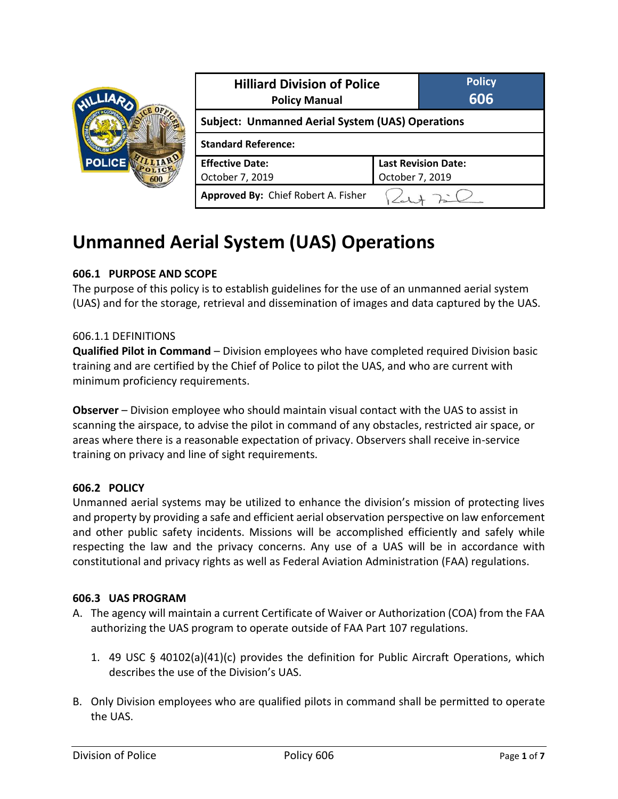| <b>POLICE</b> | <b>Hilliard Division of Police</b><br><b>Policy Manual</b> |                 | <b>Policy</b><br>606       |  |
|---------------|------------------------------------------------------------|-----------------|----------------------------|--|
|               | <b>Subject: Unmanned Aerial System (UAS) Operations</b>    |                 |                            |  |
|               | <b>Standard Reference:</b>                                 |                 |                            |  |
|               | <b>Effective Date:</b>                                     |                 | <b>Last Revision Date:</b> |  |
|               | October 7, 2019                                            | October 7, 2019 |                            |  |
|               | Approved By: Chief Robert A. Fisher                        |                 |                            |  |

# **Unmanned Aerial System (UAS) Operations**

### **606.1 PURPOSE AND SCOPE**

The purpose of this policy is to establish guidelines for the use of an unmanned aerial system (UAS) and for the storage, retrieval and dissemination of images and data captured by the UAS.

#### 606.1.1 DEFINITIONS

**Qualified Pilot in Command** – Division employees who have completed required Division basic training and are certified by the Chief of Police to pilot the UAS, and who are current with minimum proficiency requirements.

**Observer** – Division employee who should maintain visual contact with the UAS to assist in scanning the airspace, to advise the pilot in command of any obstacles, restricted air space, or areas where there is a reasonable expectation of privacy. Observers shall receive in-service training on privacy and line of sight requirements.

#### **606.2 POLICY**

Unmanned aerial systems may be utilized to enhance the division's mission of protecting lives and property by providing a safe and efficient aerial observation perspective on law enforcement and other public safety incidents. Missions will be accomplished efficiently and safely while respecting the law and the privacy concerns. Any use of a UAS will be in accordance with constitutional and privacy rights as well as Federal Aviation Administration (FAA) regulations.

#### **606.3 UAS PROGRAM**

- A. The agency will maintain a current Certificate of Waiver or Authorization (COA) from the FAA authorizing the UAS program to operate outside of FAA Part 107 regulations.
	- 1. 49 USC § 40102(a)(41)(c) provides the definition for Public Aircraft Operations, which describes the use of the Division's UAS.
- B. Only Division employees who are qualified pilots in command shall be permitted to operate the UAS.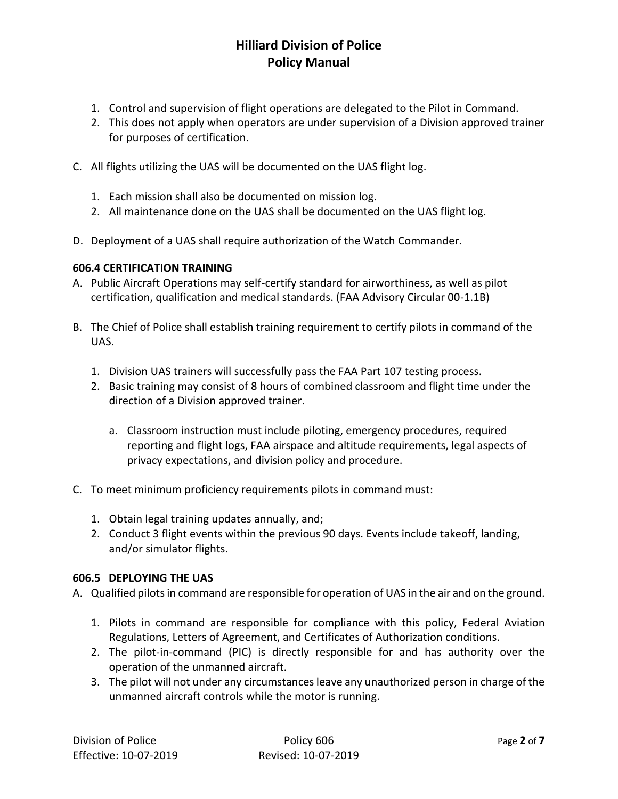- 1. Control and supervision of flight operations are delegated to the Pilot in Command.
- 2. This does not apply when operators are under supervision of a Division approved trainer for purposes of certification.
- C. All flights utilizing the UAS will be documented on the UAS flight log.
	- 1. Each mission shall also be documented on mission log.
	- 2. All maintenance done on the UAS shall be documented on the UAS flight log.
- D. Deployment of a UAS shall require authorization of the Watch Commander.

### **606.4 CERTIFICATION TRAINING**

- A. Public Aircraft Operations may self-certify standard for airworthiness, as well as pilot certification, qualification and medical standards. (FAA Advisory Circular 00-1.1B)
- B. The Chief of Police shall establish training requirement to certify pilots in command of the UAS.
	- 1. Division UAS trainers will successfully pass the FAA Part 107 testing process.
	- 2. Basic training may consist of 8 hours of combined classroom and flight time under the direction of a Division approved trainer.
		- a. Classroom instruction must include piloting, emergency procedures, required reporting and flight logs, FAA airspace and altitude requirements, legal aspects of privacy expectations, and division policy and procedure.
- C. To meet minimum proficiency requirements pilots in command must:
	- 1. Obtain legal training updates annually, and;
	- 2. Conduct 3 flight events within the previous 90 days. Events include takeoff, landing, and/or simulator flights.

### **606.5 DEPLOYING THE UAS**

A. Qualified pilots in command are responsible for operation of UAS in the air and on the ground.

- 1. Pilots in command are responsible for compliance with this policy, Federal Aviation Regulations, Letters of Agreement, and Certificates of Authorization conditions.
- 2. The pilot-in-command (PIC) is directly responsible for and has authority over the operation of the unmanned aircraft.
- 3. The pilot will not under any circumstances leave any unauthorized person in charge of the unmanned aircraft controls while the motor is running.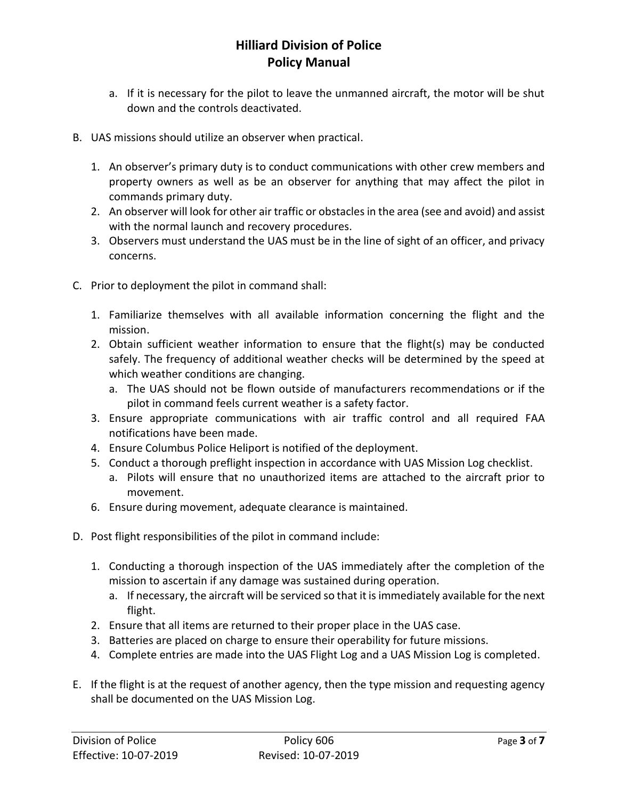- a. If it is necessary for the pilot to leave the unmanned aircraft, the motor will be shut down and the controls deactivated.
- B. UAS missions should utilize an observer when practical.
	- 1. An observer's primary duty is to conduct communications with other crew members and property owners as well as be an observer for anything that may affect the pilot in commands primary duty.
	- 2. An observer will look for other air traffic or obstacles in the area (see and avoid) and assist with the normal launch and recovery procedures.
	- 3. Observers must understand the UAS must be in the line of sight of an officer, and privacy concerns.
- C. Prior to deployment the pilot in command shall:
	- 1. Familiarize themselves with all available information concerning the flight and the mission.
	- 2. Obtain sufficient weather information to ensure that the flight(s) may be conducted safely. The frequency of additional weather checks will be determined by the speed at which weather conditions are changing.
		- a. The UAS should not be flown outside of manufacturers recommendations or if the pilot in command feels current weather is a safety factor.
	- 3. Ensure appropriate communications with air traffic control and all required FAA notifications have been made.
	- 4. Ensure Columbus Police Heliport is notified of the deployment.
	- 5. Conduct a thorough preflight inspection in accordance with UAS Mission Log checklist.
		- a. Pilots will ensure that no unauthorized items are attached to the aircraft prior to movement.
	- 6. Ensure during movement, adequate clearance is maintained.
- D. Post flight responsibilities of the pilot in command include:
	- 1. Conducting a thorough inspection of the UAS immediately after the completion of the mission to ascertain if any damage was sustained during operation.
		- a. If necessary, the aircraft will be serviced so that it is immediately available for the next flight.
	- 2. Ensure that all items are returned to their proper place in the UAS case.
	- 3. Batteries are placed on charge to ensure their operability for future missions.
	- 4. Complete entries are made into the UAS Flight Log and a UAS Mission Log is completed.
- E. If the flight is at the request of another agency, then the type mission and requesting agency shall be documented on the UAS Mission Log.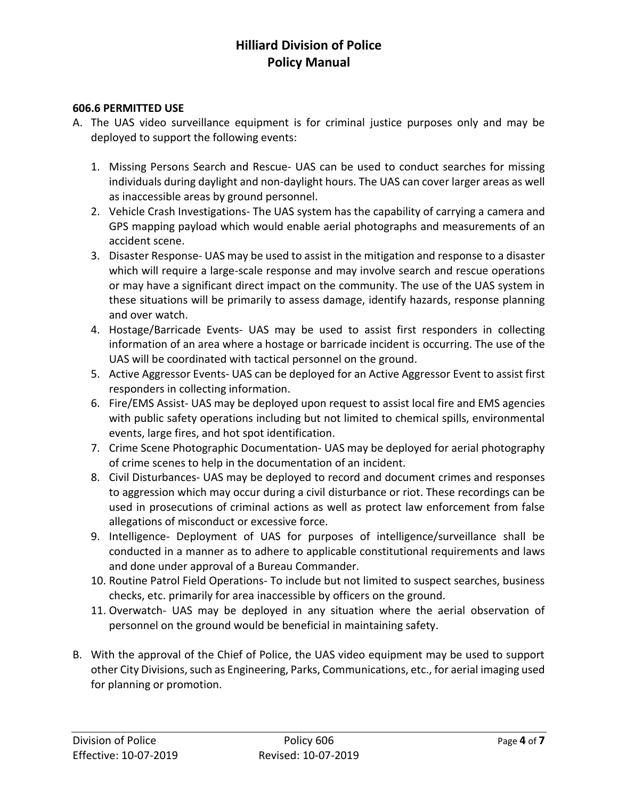### **606.6 PERMITTED USE**

- A. The UAS video surveillance equipment is for criminal justice purposes only and may be deployed to support the following events:
	- 1. Missing Persons Search and Rescue- UAS can be used to conduct searches for missing individuals during daylight and non-daylight hours. The UAS can cover larger areas as well as inaccessible areas by ground personnel.
	- 2. Vehicle Crash Investigations- The UAS system has the capability of carrying a camera and GPS mapping payload which would enable aerial photographs and measurements of an accident scene.
	- 3. Disaster Response- UAS may be used to assist in the mitigation and response to a disaster which will require a large-scale response and may involve search and rescue operations or may have a significant direct impact on the community. The use of the UAS system in these situations will be primarily to assess damage, identify hazards, response planning and over watch.
	- 4. Hostage/Barricade Events- UAS may be used to assist first responders in collecting information of an area where a hostage or barricade incident is occurring. The use of the UAS will be coordinated with tactical personnel on the ground.
	- 5. Active Aggressor Events- UAS can be deployed for an Active Aggressor Event to assist first responders in collecting information.
	- 6. Fire/EMS Assist- UAS may be deployed upon request to assist local fire and EMS agencies with public safety operations including but not limited to chemical spills, environmental events, large fires, and hot spot identification.
	- 7. Crime Scene Photographic Documentation- UAS may be deployed for aerial photography of crime scenes to help in the documentation of an incident.
	- 8. Civil Disturbances- UAS may be deployed to record and document crimes and responses to aggression which may occur during a civil disturbance or riot. These recordings can be used in prosecutions of criminal actions as well as protect law enforcement from false allegations of misconduct or excessive force.
	- 9. Intelligence- Deployment of UAS for purposes of intelligence/surveillance shall be conducted in a manner as to adhere to applicable constitutional requirements and laws and done under approval of a Bureau Commander.
	- 10. Routine Patrol Field Operations- To include but not limited to suspect searches, business checks, etc. primarily for area inaccessible by officers on the ground.
	- 11. Overwatch- UAS may be deployed in any situation where the aerial observation of personnel on the ground would be beneficial in maintaining safety.
- B. With the approval of the Chief of Police, the UAS video equipment may be used to support other City Divisions, such as Engineering, Parks, Communications, etc., for aerial imaging used for planning or promotion.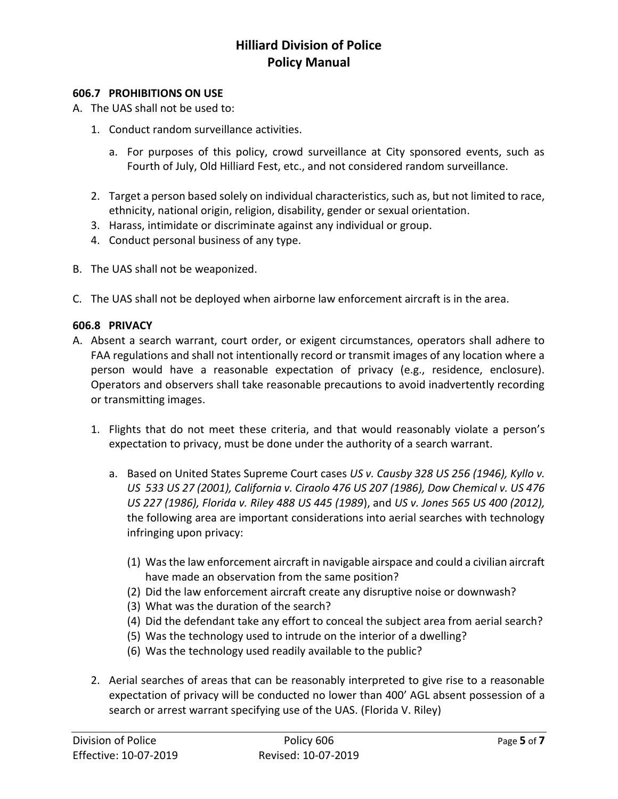#### **606.7 PROHIBITIONS ON USE**

A. The UAS shall not be used to:

- 1. Conduct random surveillance activities.
	- a. For purposes of this policy, crowd surveillance at City sponsored events, such as Fourth of July, Old Hilliard Fest, etc., and not considered random surveillance.
- 2. Target a person based solely on individual characteristics, such as, but not limited to race, ethnicity, national origin, religion, disability, gender or sexual orientation.
- 3. Harass, intimidate or discriminate against any individual or group.
- 4. Conduct personal business of any type.
- B. The UAS shall not be weaponized.
- C. The UAS shall not be deployed when airborne law enforcement aircraft is in the area.

#### **606.8 PRIVACY**

- A. Absent a search warrant, court order, or exigent circumstances, operators shall adhere to FAA regulations and shall not intentionally record or transmit images of any location where a person would have a reasonable expectation of privacy (e.g., residence, enclosure). Operators and observers shall take reasonable precautions to avoid inadvertently recording or transmitting images.
	- 1. Flights that do not meet these criteria, and that would reasonably violate a person's expectation to privacy, must be done under the authority of a search warrant.
		- a. Based on United States Supreme Court cases *US v. Causby 328 US 256 (1946), Kyllo v. US 533 US 27 (2001), California v. Ciraolo 476 US 207 (1986), Dow Chemical v. US 476 US 227 (1986), Florida v. Riley 488 US 445 (1989*), and *US v. Jones 565 US 400 (2012),*  the following area are important considerations into aerial searches with technology infringing upon privacy:
			- (1) Was the law enforcement aircraft in navigable airspace and could a civilian aircraft have made an observation from the same position?
			- (2) Did the law enforcement aircraft create any disruptive noise or downwash?
			- (3) What was the duration of the search?
			- (4) Did the defendant take any effort to conceal the subject area from aerial search?
			- (5) Was the technology used to intrude on the interior of a dwelling?
			- (6) Was the technology used readily available to the public?
	- 2. Aerial searches of areas that can be reasonably interpreted to give rise to a reasonable expectation of privacy will be conducted no lower than 400' AGL absent possession of a search or arrest warrant specifying use of the UAS. (Florida V. Riley)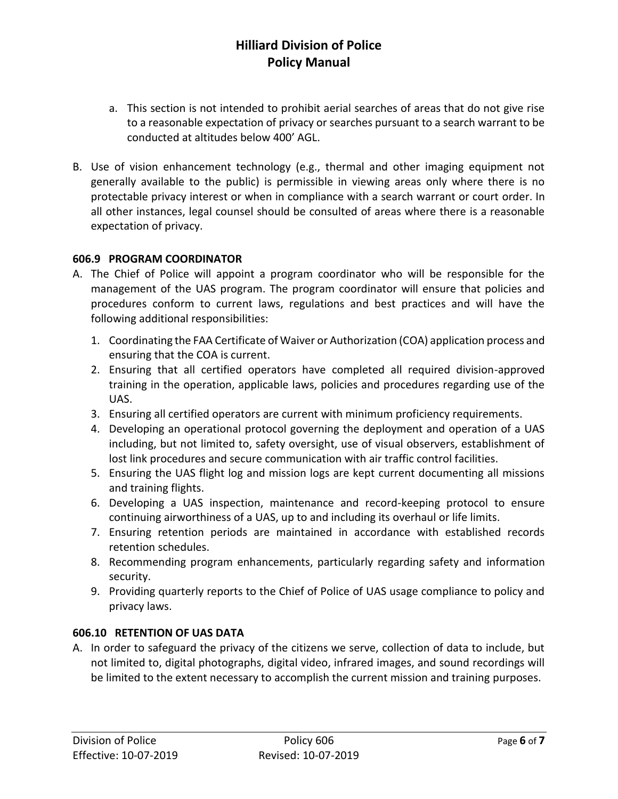- a. This section is not intended to prohibit aerial searches of areas that do not give rise to a reasonable expectation of privacy or searches pursuant to a search warrant to be conducted at altitudes below 400' AGL.
- B. Use of vision enhancement technology (e.g., thermal and other imaging equipment not generally available to the public) is permissible in viewing areas only where there is no protectable privacy interest or when in compliance with a search warrant or court order. In all other instances, legal counsel should be consulted of areas where there is a reasonable expectation of privacy.

### **606.9 PROGRAM COORDINATOR**

- A. The Chief of Police will appoint a program coordinator who will be responsible for the management of the UAS program. The program coordinator will ensure that policies and procedures conform to current laws, regulations and best practices and will have the following additional responsibilities:
	- 1. Coordinating the FAA Certificate of Waiver or Authorization (COA) application process and ensuring that the COA is current.
	- 2. Ensuring that all certified operators have completed all required division-approved training in the operation, applicable laws, policies and procedures regarding use of the UAS.
	- 3. Ensuring all certified operators are current with minimum proficiency requirements.
	- 4. Developing an operational protocol governing the deployment and operation of a UAS including, but not limited to, safety oversight, use of visual observers, establishment of lost link procedures and secure communication with air traffic control facilities.
	- 5. Ensuring the UAS flight log and mission logs are kept current documenting all missions and training flights.
	- 6. Developing a UAS inspection, maintenance and record-keeping protocol to ensure continuing airworthiness of a UAS, up to and including its overhaul or life limits.
	- 7. Ensuring retention periods are maintained in accordance with established records retention schedules.
	- 8. Recommending program enhancements, particularly regarding safety and information security.
	- 9. Providing quarterly reports to the Chief of Police of UAS usage compliance to policy and privacy laws.

### **606.10 RETENTION OF UAS DATA**

A. In order to safeguard the privacy of the citizens we serve, collection of data to include, but not limited to, digital photographs, digital video, infrared images, and sound recordings will be limited to the extent necessary to accomplish the current mission and training purposes.